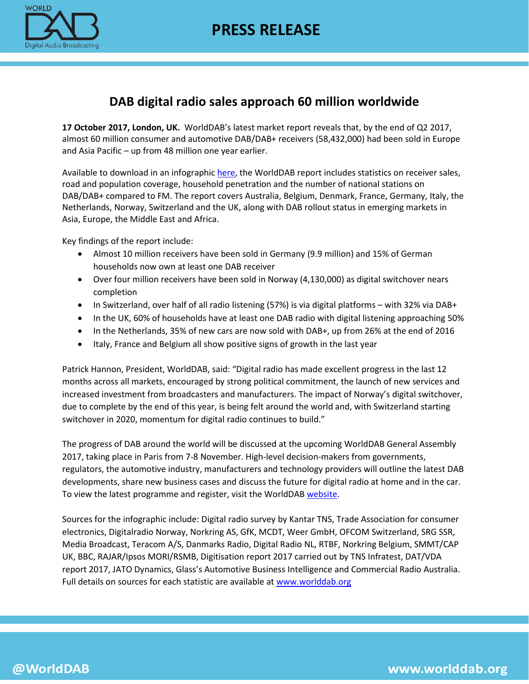

# **DAB digital radio sales approach 60 million worldwide**

**17 October 2017, London, UK.** WorldDAB's latest market report reveals that, by the end of Q2 2017, almost 60 million consumer and automotive DAB/DAB+ receivers (58,432,000) had been sold in Europe and Asia Pacific – up from 48 million one year earlier.

Available to download in an infographi[c here,](https://www.worlddab.org/public_document/file/946/WorldDAB_Infographic_June_2017_A4_with_sources.pdf?1508231578) the WorldDAB report includes statistics on receiver sales, road and population coverage, household penetration and the number of national stations on DAB/DAB+ compared to FM. The report covers Australia, Belgium, Denmark, France, Germany, Italy, the Netherlands, Norway, Switzerland and the UK, along with DAB rollout status in emerging markets in Asia, Europe, the Middle East and Africa.

Key findings of the report include:

- Almost 10 million receivers have been sold in Germany (9.9 million) and 15% of German households now own at least one DAB receiver
- Over four million receivers have been sold in Norway (4,130,000) as digital switchover nears completion
- In Switzerland, over half of all radio listening (57%) is via digital platforms with 32% via DAB+
- In the UK, 60% of households have at least one DAB radio with digital listening approaching 50%
- In the Netherlands, 35% of new cars are now sold with DAB+, up from 26% at the end of 2016
- Italy, France and Belgium all show positive signs of growth in the last year

Patrick Hannon, President, WorldDAB, said: "Digital radio has made excellent progress in the last 12 months across all markets, encouraged by strong political commitment, the launch of new services and increased investment from broadcasters and manufacturers. The impact of Norway's digital switchover, due to complete by the end of this year, is being felt around the world and, with Switzerland starting switchover in 2020, momentum for digital radio continues to build."

The progress of DAB around the world will be discussed at the upcoming WorldDAB General Assembly 2017, taking place in Paris from 7-8 November. High-level decision-makers from governments, regulators, the automotive industry, manufacturers and technology providers will outline the latest DAB developments, share new business cases and discuss the future for digital radio at home and in the car. To view the latest programme and register, visit the WorldDAB [website.](https://www.worlddab.org/events/detail/479)

Sources for the infographic include: Digital radio survey by Kantar TNS, Trade Association for consumer electronics, Digitalradio Norway, Norkring AS, GfK, MCDT, Weer GmbH, OFCOM Switzerland, SRG SSR, Media Broadcast, Teracom A/S, Danmarks Radio, Digital Radio NL, RTBF, Norkring Belgium, SMMT/CAP UK, BBC, RAJAR/Ipsos MORI/RSMB, Digitisation report 2017 carried out by TNS Infratest, DAT/VDA report 2017, JATO Dynamics, Glass's Automotive Business Intelligence and Commercial Radio Australia. Full details on sources for each statistic are available at [www.worlddab.org](http://www.worlddab.org/?utm_source=Media+%2B+all&utm_campaign=7266f299d6-EMAIL_CAMPAIGN_2017_10_17&utm_medium=email&utm_term=0_6108bf1ff9-7266f299d6-)